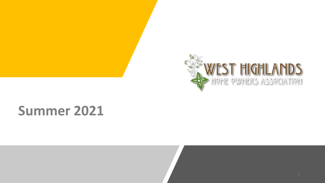

# **Summer 2021**

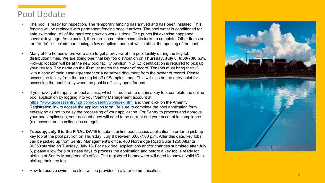# Pool Update

- The pool is ready for inspection. The temporary fencing has arrived and has been installed. This fencing will be replaced with permanent fencing once it arrives. The pool water is conditioned for safe swimming. All of the hard construction work is done. The punch list exercise happened several days ago. As expected, there are some minor cosmetic tasks to complete. Other items on the "to -do" list include purchasing a few supplies - none of which affect the opening of the pool.
- Many of the homeowners were able to get a preview of the pool facility during the key fob distribution times. We are doing one final key fob distribution on **Thursday, July 8, 6:00 -7:00 p.m.** Pick -up location will be at the new pool facility pavilion. NOTE: Identification is required to pick up your key fob. The name on the ID must match the owner of record. Tenants must bring their ID with a copy of their lease agreement or a notarized document from the owner of record. Please access the facility from the parking lot off of Samples Lane. This will also be the entry point for accessing the pool facility when the pool is officially open for use.
- If you have yet to apply for pool access, which is required to obtain a key fob, complete the online pool application by logging into your Sentry Management account at <https://www.accesssentrymgt.com/dx/sentrywp/index.html> and then click on the Amenity Registration link to access the application form. Be sure to complete the pool application form entirely so as not to delay the processing of your application. For Sentry to process and approve your pool application, your account dues will need to be current and your account in compliance (ex. account not in collections or legal).
- Tuesday, July 6 is the FINAL DATE to submit online pool access application in order to pick-up key fob at the pool pavilion on Thursday, July 8 between 6:00 -7:00 p.m. After this date, key fobs can be picked up from Sentry Management's office, 400 Northridge Road Suite 1250 Atlanta 30350 starting on Tuesday, July 13. For new pool applications and/or changes submitted after July 6, please allow for 5 business days to process the application and before a key fob is ready for pick -up at Sentry Management's office. The registered homeowner will need to show a valid ID to pick up their key fob.
- 

• How to reserve swim time slots will be provided in a later communication.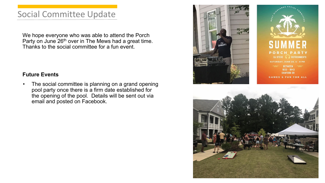### Social Committee Update

We hope everyone who was able to attend the Porch Party on June 26<sup>th</sup> over in The Mews had a great time. Thanks to the social committee for a fun event.

#### **Future Events**

• The social committee is planning on a grand opening pool party once there is a firm date established for the opening of the pool. Details will be sent out via email and posted on Facebook.





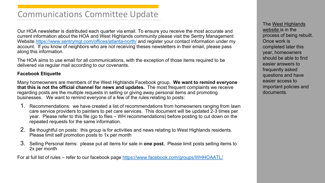### Communications Committee Update

Our HOA newsletter is distributed each quarter via email. To ensure you receive the most accurate and current information about the HOA and West Highlands community please visit the Sentry Management Website<https://www.sentrymgt.com/offices/atlanta-north/> and register your contact information under my account. If you know of neighbors who are not receiving theses newsletters in their email, please pass along this information.

The HOA aims to use email for all communications, with the exception of those items required to be delivered via regular mail according to our covenants.

#### **Facebook Etiquette**

Many homeowners are members of the West Highlands Facebook group. **We want to remind everyone that this is not the official channel for news and updates.** The most frequent complaints we receive regarding posts are the multiple requests in selling or giving away personal items and promoting businesses. We want to remind everyone of a few of the rules relating to posts:

- 1. Recommendations: we have created a list of recommendations from homeowners ranging from lawn care service providers to painters to pet care services. This document will be updated 2-3 times per year. Please refer to this file (go to files – WH recommendations) before posting to cut down on the repeated requests for the same information.
- 2. Be thoughtful on posts: this group is for activities and news relating to West Highlands residents. Please limit self promotion posts to 1x per month
- 3. Selling Personal items: please put all items for sale in **one post.** Please limit posts selling items to 2x per month

For al full list of rules – refer to our facebook page<https://www.facebook.com/groups/WHHOAATL/>

[The West Highlands](https://westhighlandsatl.com/) website is in the process of being rebuilt. Once work is completed later this year, homeowners should be able to find easier answers to frequently asked questions and have easier access to important policies and documents.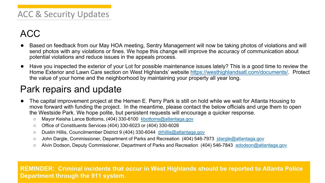### ACC & Security Updates

# ACC

- Based on feedback from our May HOA meeting, Sentry Management will now be taking photos of violations and will send photos with any violations or fines. We hope this change will improve the accuracy of communication about potential violations and reduce issues in the appeals process.
- Have you inspected the exterior of your Lot for possible maintenance issues lately? This is a good time to review the Home Exterior and Lawn Care section on West Highlands' website [https://westhighlandsatl.com/documents/.](https://westhighlandsatl.com/documents/) Protect the value of your home and the neighborhood by maintaining your property all year long.

# Park repairs and update

- The capital improvement project at the Hemen E. Perry Park is still on hold while we wait for Atlanta Housing to move forward with funding the project. In the meantime, please contact the below officials and urge them to open the Westside Park. We hope polite, but persistent requests will encourage a quicker response.
	- Mayor Keisha Lance Bottoms, (404) 330-6100 [kbottoms@atlantaga.gov](mailto:kbottoms@atlantaga.gov)
	- Office of Constituents Services (404) 330-6023 or (404) 330-6026
	- Dustin Hillis, Councilmember District 9 (404) 330-6044 [drhillis@atlantaga.gov](mailto:drhillis@atlantaga.gov)
	- John Dargle, Commissioner, Department of Parks and Recreation (404) 546-7973 [jdargle@atlantaga.gov](mailto:jdargle@atlantaga.gov)
	- Alvin Dodson, Deputy Commissioner, Department of Parks and Recreation (404) 546-7843 [adodson@atlantaga.gov](mailto:adodson@atlantaga.gov)

**REMINDER: Criminal incidents that occur in West Highlands should be reported to Atlanta Police Department through the 911 system.**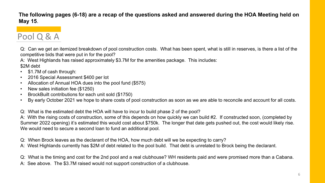#### **The following pages (6-18) are a recap of the questions asked and answered during the HOA Meeting held on May 15**.

# Pool Q & A

Q: Can we get an itemized breakdown of pool construction costs. What has been spent, what is still in reserves, is there a list of the competitive bids that were put in for the pool?

A: West Highlands has raised approximately \$3.7M for the amenities package. This includes: \$2M debt

- \$1.7M of cash through:
- 2016 Special Assessment \$400 per lot
- Allocation of Annual HOA dues into the pool fund (\$575)
- New sales initiation fee (\$1250)
- BrockBuilt contributions for each unit sold (\$1750)
- By early October 2021 we hope to share costs of pool construction as soon as we are able to reconcile and account for all costs.

Q: What is the estimated debt the HOA will have to incur to build phase 2 of the pool?

A: With the rising costs of construction, some of this depends on how quickly we can build #2. If constructed soon, (completed by Summer 2022 opening) it's estimated this would cost about \$750k. The longer that date gets pushed out, the cost would likely rise. We would need to secure a second loan to fund an additional pool.

Q: When Brock leaves as the declarant of the HOA, how much debt will we be expecting to carry? A: West Highlands currently has \$2M of debt related to the pool build. That debt is unrelated to Brock being the declarant.

Q: What is the timing and cost for the 2nd pool and a real clubhouse? WH residents paid and were promised more than a Cabana.

A: See above. The \$3.7M raised would not support construction of a clubhouse.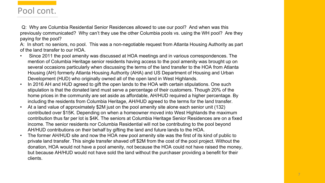#### Pool cont.

Q: Why are Columbia Residential Senior Residences allowed to use our pool? And when was this previously communicated? Why can't they use the other Columbia pools vs. using the WH pool? Are they paying for the pool?

A: In short: no seniors, no pool. This was a non-negotiable request from Atlanta Housing Authority as part of the land transfer to our HOA.

- Since 2011 the pool amenity was discussed at HOA meetings and in various correspondences. The mention of Columbia Heritage senior residents having access to the pool amenity was brought up on several occasions particularly when discussing the terms of the land transfer to the HOA from Atlanta Housing (AH) formerly Atlanta Housing Authority (AHA) and US Department of Housing and Urban Development (HUD) who originally owned all of the open land in West Highlands.
- In 2016 AH and HUD agreed to gift the open lands to the HOA with certain stipulations. One such stipulation is that the donated land must serve a percentage of their customers. Though 20% of the home prices in the community are set aside as affordable, AH/HUD required a higher percentage. By including the residents from Columbia Heritage, AH/HUD agreed to the terms for the land transfer.
- At a land value of approximately \$2M just on the pool amenity site alone each senior unit (132) contributed over \$15K. Depending on when a homeowner moved into West Highlands the maximum contribution thus far per lot is \$4K. The seniors at Columbia Heritage Senior Residences are on a fixed income. The senior residents nor Columbia Residential will not be contributing to the pool beyond AH/HUD contributions on their behalf by gifting the land and future lands to the HOA.
- The former AH/HUD site and now the HOA new pool amenity site was the first of its kind of public to private land transfer. This single transfer shaved off \$2M from the cost of the pool project. Without the donation, HOA would not have a pool amenity, not because the HOA could not have raised the money, but because AH/HUD would not have sold the land without the purchaser providing a benefit for their clients.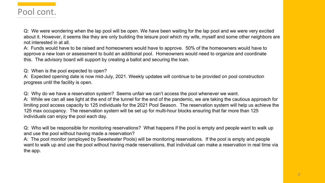

Q: We were wondering when the lap pool will be open. We have been waiting for the lap pool and we were very excited about it. However, it seems like they are only building the leisure pool which my wife, myself and some other neighbors are not interested in at all.

A: Funds would have to be raised and homeowners would have to approve. 50% of the homeowners would have to approve a new loan or assessment to build an additional pool. Homeowners would need to organize and coordinate this. The advisory board will support by creating a ballot and securing the loan.

Q: When is the pool expected to open?

A: Expected opening date is now mid-July, 2021. Weekly updates will continue to be provided on pool construction progress until the facility is open.

Q: Why do we have a reservation system? Seems unfair we can't access the pool whenever we want.

A: While we can all see light at the end of the tunnel for the end of the pandemic, we are taking the cautious approach for limiting pool access capacity to 125 individuals for the 2021 Pool Season. The reservation system will help us achieve the 125 max occupancy. The reservation system will be set up for multi-hour blocks ensuring that far more than 125 individuals can enjoy the pool each day.

Q: Who will be responsible for monitoring reservations? What happens if the pool is empty and people want to walk up and use the pool without having made a reservation?

A: The pool monitor (employed by Sweetwater Pools) will be monitoring reservations. If the pool is empty and people want to walk up and use the pool without having made reservations, that individual can make a reservation in real time via the app.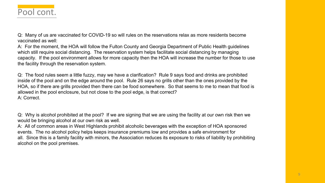## Pool cont.

Q: Many of us are vaccinated for COVID-19 so will rules on the reservations relax as more residents become vaccinated as well:

A: For the moment, the HOA will follow the Fulton County and Georgia Department of Public Health guidelines which still require social distancing. The reservation system helps facilitate social distancing by managing capacity. If the pool environment allows for more capacity then the HOA will increase the number for those to use the facility through the reservation system.

Q: The food rules seem a little fuzzy, may we have a clarification? Rule 9 says food and drinks are prohibited inside of the pool and on the edge around the pool. Rule 26 says no grills other than the ones provided by the HOA, so if there are grills provided then there can be food somewhere. So that seems to me to mean that food is allowed in the pool enclosure, but not close to the pool edge, is that correct? A: Correct.

Q: Why is alcohol prohibited at the pool? If we are signing that we are using the facility at our own risk then we would be bringing alcohol at our own risk as well.

A: All of common areas in West Highlands prohibit alcoholic beverages with the exception of HOA sponsored events. The no alcohol policy helps keeps insurance premiums low and provides a safe environment for all. Since this is a family facility with minors, the Association reduces its exposure to risks of liability by prohibiting alcohol on the pool premises.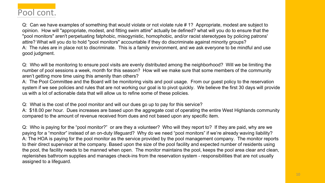

Q: Can we have examples of something that would violate or not violate rule # 1? Appropriate, modest are subject to opinion. How will "appropriate, modest, and fitting swim attire" actually be defined? what will you do to ensure that the "pool monitors" aren't perpetuating fatphobic, misogynistic, homophobic, and/or racist stereotypes by policing patrons' attire? What will you do to hold "pool monitors" accountable if they do discriminate against minority groups? A: The rules are in place not to discriminate. This is a family environment, and we ask everyone to be mindful and use good judgment.

Q: Who will be monitoring to ensure pool visits are evenly distributed among the neighborhood? Will we be limiting the number of pool sessions a week, month for this season? How will we make sure that some members of the community aren't getting more time using this amenity than others?

A: The Pool Committee and the Board will be monitoring visits and pool usage. From our guest policy to the reservation system if we see policies and rules that are not working our goal is to pivot quickly. We believe the first 30 days will provide us with a lot of actionable data that will allow us to refine some of these policies.

Q: What is the cost of the pool monitor and will our dues go up to pay for this service?

A: \$18.00 per hour. Dues increases are based upon the aggregate cost of operating the entire West Highlands community compared to the amount of revenue received from dues and not based upon any specific item.

Q: Who is paying for the "pool monitor?" or are they a volunteer? Who will they report to? If they are paid, why are we paying for a "monitor" instead of an on-duty lifeguard? Why do we need "pool monitors" if we're already waving liability? A: The HOA is paying for the pool monitor as the service provided by the pool management company. The monitor reports to their direct supervisor at the company. Based upon the size of the pool facility and expected number of residents using the pool, the facility needs to be manned when open. The monitor maintains the pool, keeps the pool area clear and clean, replenishes bathroom supplies and manages check-ins from the reservation system - responsibilities that are not usually assigned to a lifeguard.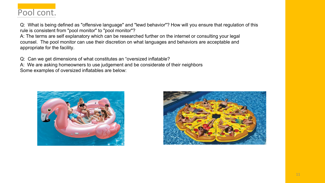# Pool cont.

Q: What is being defined as "offensive language" and "lewd behavior"? How will you ensure that regulation of this rule is consistent from "pool monitor" to "pool monitor"?

A: The terms are self explanatory which can be researched further on the internet or consulting your legal counsel. The pool monitor can use their discretion on what languages and behaviors are acceptable and appropriate for the facility.

Q: Can we get dimensions of what constitutes an "oversized inflatable?

A: We are asking homeowners to use judgement and be considerate of their neighbors

Some examples of oversized inflatables are below:



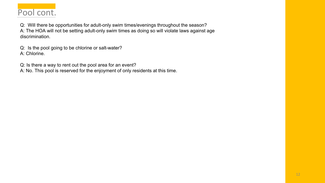

Q: Will there be opportunities for adult-only swim times/evenings throughout the season? A: The HOA will not be setting adult-only swim times as doing so will violate laws against age discrimination.

Q: Is the pool going to be chlorine or salt-water? A: Chlorine.

Q: Is there a way to rent out the pool area for an event?

A: No. This pool is reserved for the enjoyment of only residents at this time.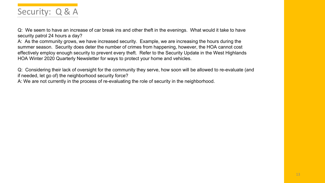

Q: We seem to have an increase of car break ins and other theft in the evenings. What would it take to have security patrol 24 hours a day?

A: As the community grows, we have increased security. Example, we are increasing the hours during the summer season. Security does deter the number of crimes from happening, however, the HOA cannot cost effectively employ enough security to prevent every theft. Refer to the Security Update in the West Highlands HOA Winter 2020 Quarterly Newsletter for ways to protect your home and vehicles.

Q: Considering their lack of oversight for the community they serve, how soon will be allowed to re-evaluate (and if needed, let go of) the neighborhood security force?

A: We are not currently in the process of re-evaluating the role of security in the neighborhood.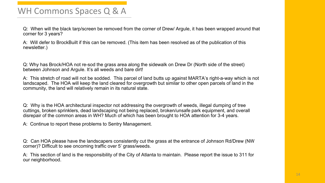#### WH Commons Spaces Q & A

Q: When will the black tarp/screen be removed from the corner of Drew/ Argule, it has been wrapped around that corner for 3 years?

A: Will defer to BrockBuilt if this can be removed. (This item has been resolved as of the publication of this newsletter.)

Q: Why has Brock/HOA not re-sod the grass area along the sidewalk on Drew Dr (North side of the street) between Johnson and Argule. It's all weeds and bare dirt!

A: This stretch of road will not be sodded. This parcel of land butts up against MARTA's right-a-way which is not landscaped. The HOA will keep the land cleared for overgrowth but similar to other open parcels of land in the community, the land will relatively remain in its natural state.

Q: Why is the HOA architectural inspector not addressing the overgrowth of weeds, illegal dumping of tree cuttings, broken sprinklers, dead landscaping not being replaced, broken/unsafe park equipment, and overall disrepair of the common areas in WH? Much of which has been brought to HOA attention for 3-4 years.

A: Continue to report these problems to Sentry Management.

Q: Can HOA please have the landscapers consistently cut the grass at the entrance of Johnson Rd/Drew (NW corner)? Difficult to see oncoming traffic over 5' grass/weeds.

A: This section of land is the responsibility of the City of Atlanta to maintain. Please report the issue to 311 for our neighborhood.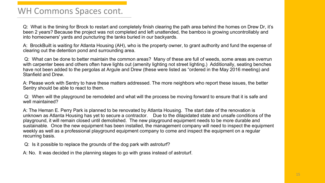#### WH Commons Spaces cont.

Q: What is the timing for Brock to restart and completely finish clearing the path area behind the homes on Drew Dr, it's been 2 years? Because the project was not completed and left unattended, the bamboo is growing uncontrollably and into homeowners' yards and puncturing the tanks buried in our backyards.

A: BrockBuilt is waiting for Atlanta Housing (AH), who is the property owner, to grant authority and fund the expense of clearing out the detention pond and surrounding area.

Q: What can be done to better maintain the common areas? Many of these are full of weeds, some areas are overrun with carpenter bees and others often have lights out (amenity lighting not street lighting.) Additionally, seating benches have not been added to the pergolas at Argule and Drew (these were listed as "ordered in the May 2016 meeting) and Stanfield and Drew.

A: Please work with Sentry to have these matters addressed. The more neighbors who report these issues, the better Sentry should be able to react to them.

Q: When will the playground be remodeled and what will the process be moving forward to ensure that it is safe and well maintained?

A: The Heman E. Perry Park is planned to be renovated by Atlanta Housing. The start date of the renovation is unknown as Atlanta Housing has yet to secure a contractor. Due to the dilapidated state and unsafe conditions of the playground, it will remain closed until demolished. The new playground equipment needs to be more durable and sustainable. Once the new equipment has been installed, the management company will need to inspect the equipment weekly as well as a professional playground equipment company to come and inspect the equipment on a regular recurring basis.

Q: Is it possible to replace the grounds of the dog park with astroturf?

A: No. It was decided in the planning stages to go with grass instead of astroturf.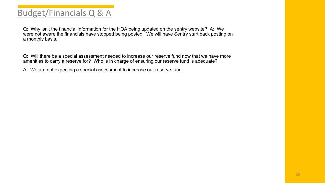## Budget/Financials Q & A

Q: Why isn't the financial information for the HOA being updated on the sentry website? A: We were not aware the financials have stopped being posted. We will have Sentry start back posting on a monthly basis.

Q: Will there be a special assessment needed to increase our reserve fund now that we have more amenities to carry a reserve for? Who is in charge of ensuring our reserve fund is adequate?

A: We are not expecting a special assessment to increase our reserve fund.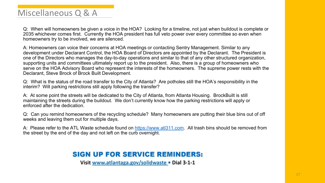### Miscellaneous Q & A

Q: When will homeowners be given a voice in the HOA? Looking for a timeline, not just when buildout is complete or 2035 whichever comes first. Currently the HOA president has full veto power over every committee so even when homeowners try to be involved, we are silenced.

A: Homeowners can voice their concerns at HOA meetings or contacting Sentry Management. Similar to any development under Declarant Control, the HOA Board of Directors are appointed by the Declarant. The President is one of the Directors who manages the day-to-day operations and similar to that of any other structured organization, supporting units and committees ultimately report up to the president. Also, there is a group of homeowners who serve on the HOA Advisory Board who represent the interests of the homeowners. The supreme power rests with the Declarant, Steve Brock of Brock Built Development.

Q: What is the status of the road transfer to the City of Atlanta? Are potholes still the HOA's responsibility in the interim? Will parking restrictions still apply following the transfer?

A: At some point the streets will be dedicated to the City of Atlanta, from Atlanta Housing. BrockBuilt is still maintaining the streets during the buildout. We don't currently know how the parking restrictions will apply or enforced after the dedication.

Q: Can you remind homeowners of the recycling schedule? Many homeowners are putting their blue bins out of off weeks and leaving them out for multiple days.

A: Please refer to the ATL Waste schedule found on [https://www.atl311.com.](https://www.atl311.com/311) All trash bins should be removed from the street by the end of the day and not left on the curb overnight.

#### **SIGN UP FOR SERVICE REMINDERS:**

Visit www.atlantaga.gov/solidwaste • Dial 3-1-1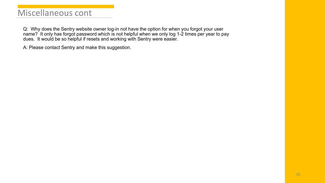#### Miscellaneous cont

Q: Why does the Sentry website owner log-in not have the option for when you forgot your user name? It only has forgot password which is not helpful when we only log 1-2 times per year to pay dues. It would be so helpful if resets and working with Sentry were easier.

A: Please contact Sentry and make this suggestion.